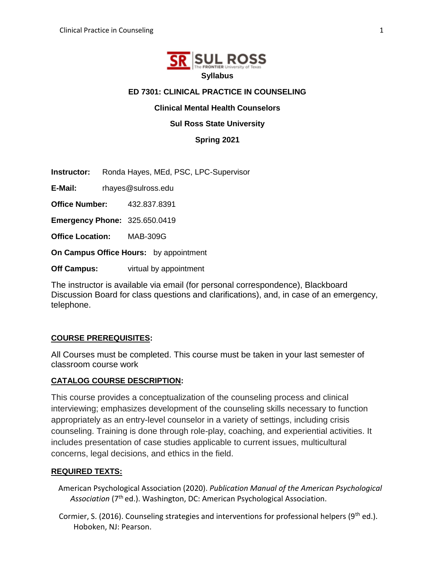

## **ED 7301: CLINICAL PRACTICE IN COUNSELING**

## **Clinical Mental Health Counselors**

## **Sul Ross State University**

**Spring 2021**

**Instructor:** Ronda Hayes, MEd, PSC, LPC-Supervisor

**E-Mail:** rhayes@sulross.edu

**Office Number:** 432.837.8391

**Emergency Phone:** 325.650.0419

**Office Location:** MAB-309G

**On Campus Office Hours:** by appointment

**Off Campus:** virtual by appointment

The instructor is available via email (for personal correspondence), Blackboard Discussion Board for class questions and clarifications), and, in case of an emergency, telephone.

## **COURSE PREREQUISITES:**

All Courses must be completed. This course must be taken in your last semester of classroom course work

## **CATALOG COURSE DESCRIPTION:**

This course provides a conceptualization of the counseling process and clinical interviewing; emphasizes development of the counseling skills necessary to function appropriately as an entry-level counselor in a variety of settings, including crisis counseling. Training is done through role-play, coaching, and experiential activities. It includes presentation of case studies applicable to current issues, multicultural concerns, legal decisions, and ethics in the field.

## **REQUIRED TEXTS:**

American Psychological Association (2020). *Publication Manual of the American Psychological*  Association (7<sup>th</sup> ed.). Washington, DC: American Psychological Association.

Cormier, S. (2016). Counseling strategies and interventions for professional helpers ( $9<sup>th</sup>$  ed.). Hoboken, NJ: Pearson.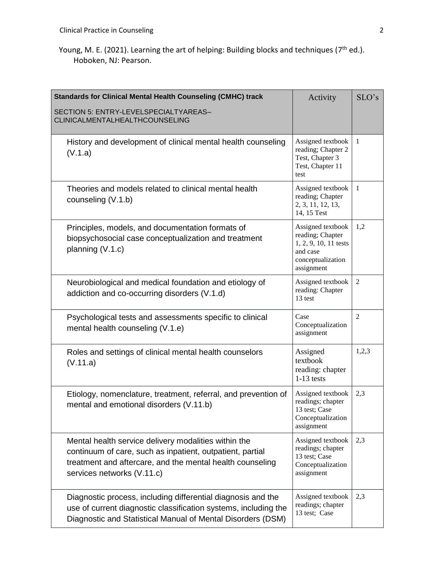Young, M. E. (2021). Learning the art of helping: Building blocks and techniques (7<sup>th</sup> ed.). Hoboken, NJ: Pearson.

| <b>Standards for Clinical Mental Health Counseling (CMHC) track</b><br>SECTION 5: ENTRY-LEVELSPECIALTYAREAS-<br>CLINICALMENTALHEALTHCOUNSELING                                                               | Activity                                                                                                      | SLO's          |
|--------------------------------------------------------------------------------------------------------------------------------------------------------------------------------------------------------------|---------------------------------------------------------------------------------------------------------------|----------------|
| History and development of clinical mental health counseling<br>(V.1.a)                                                                                                                                      | Assigned textbook<br>reading; Chapter 2<br>Test, Chapter 3<br>Test, Chapter 11<br>test                        | $\mathbf{1}$   |
| Theories and models related to clinical mental health<br>counseling (V.1.b)                                                                                                                                  | Assigned textbook<br>reading; Chapter<br>2, 3, 11, 12, 13,<br>14, 15 Test                                     | $\mathbf{1}$   |
| Principles, models, and documentation formats of<br>biopsychosocial case conceptualization and treatment<br>planning (V.1.c)                                                                                 | Assigned textbook<br>reading; Chapter<br>1, 2, 9, 10, 11 tests<br>and case<br>conceptualization<br>assignment | 1,2            |
| Neurobiological and medical foundation and etiology of<br>addiction and co-occurring disorders (V.1.d)                                                                                                       | Assigned textbook<br>reading: Chapter<br>13 test                                                              | $\overline{2}$ |
| Psychological tests and assessments specific to clinical<br>mental health counseling (V.1.e)                                                                                                                 | Case<br>Conceptualization<br>assignment                                                                       | $\overline{2}$ |
| Roles and settings of clinical mental health counselors<br>(V.11.a)                                                                                                                                          | Assigned<br>textbook<br>reading: chapter<br>$1-13$ tests                                                      | 1,2,3          |
| Etiology, nomenclature, treatment, referral, and prevention of<br>mental and emotional disorders (V.11.b)                                                                                                    | Assigned textbook<br>readings; chapter<br>13 test; Case<br>Conceptualization<br>assignment                    | 2,3            |
| Mental health service delivery modalities within the<br>continuum of care, such as inpatient, outpatient, partial<br>treatment and aftercare, and the mental health counseling<br>services networks (V.11.c) | Assigned textbook<br>readings; chapter<br>13 test; Case<br>Conceptualization<br>assignment                    | 2,3            |
| Diagnostic process, including differential diagnosis and the<br>use of current diagnostic classification systems, including the<br>Diagnostic and Statistical Manual of Mental Disorders (DSM)               | Assigned textbook<br>readings; chapter<br>13 test; Case                                                       | 2,3            |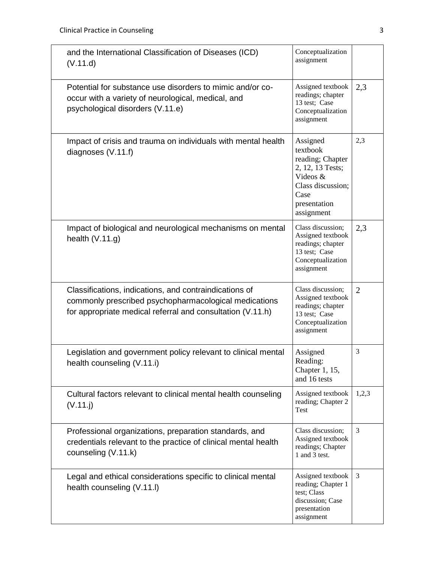| and the International Classification of Diseases (ICD)<br>(V.11.d)                                                                                                            | Conceptualization<br>assignment                                                                                                     |                |
|-------------------------------------------------------------------------------------------------------------------------------------------------------------------------------|-------------------------------------------------------------------------------------------------------------------------------------|----------------|
| Potential for substance use disorders to mimic and/or co-<br>occur with a variety of neurological, medical, and<br>psychological disorders (V.11.e)                           | Assigned textbook<br>readings; chapter<br>13 test; Case<br>Conceptualization<br>assignment                                          | 2,3            |
| Impact of crisis and trauma on individuals with mental health<br>diagnoses (V.11.f)                                                                                           | Assigned<br>textbook<br>reading; Chapter<br>2, 12, 13 Tests;<br>Videos &<br>Class discussion;<br>Case<br>presentation<br>assignment | 2,3            |
| Impact of biological and neurological mechanisms on mental<br>health $(V.11.g)$                                                                                               | Class discussion;<br>Assigned textbook<br>readings; chapter<br>13 test; Case<br>Conceptualization<br>assignment                     | 2,3            |
| Classifications, indications, and contraindications of<br>commonly prescribed psychopharmacological medications<br>for appropriate medical referral and consultation (V.11.h) | Class discussion;<br>Assigned textbook<br>readings; chapter<br>13 test; Case<br>Conceptualization<br>assignment                     | $\overline{2}$ |
| Legislation and government policy relevant to clinical mental<br>health counseling (V.11.i)                                                                                   | Assigned<br>Reading:<br>Chapter 1, 15,<br>and 16 tests                                                                              | 3              |
| Cultural factors relevant to clinical mental health counseling<br>(V.11. j)                                                                                                   | Assigned textbook<br>reading; Chapter 2<br>Test                                                                                     | 1,2,3          |
| Professional organizations, preparation standards, and<br>credentials relevant to the practice of clinical mental health<br>counseling (V.11.k)                               | Class discussion;<br>Assigned textbook<br>readings; Chapter<br>1 and 3 test.                                                        | 3              |
| Legal and ethical considerations specific to clinical mental<br>health counseling (V.11.I)                                                                                    | Assigned textbook<br>reading; Chapter 1<br>test; Class<br>discussion; Case<br>presentation<br>assignment                            | 3              |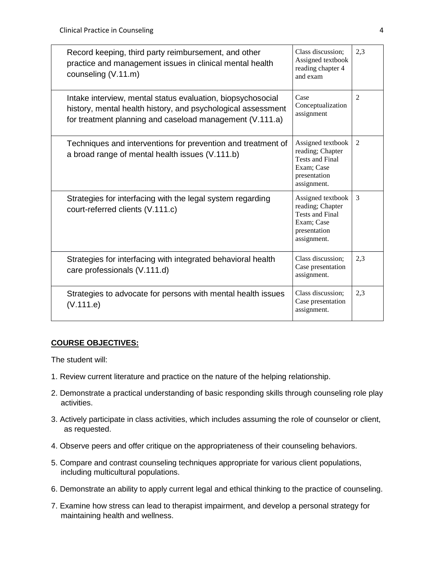| Record keeping, third party reimbursement, and other<br>practice and management issues in clinical mental health<br>counseling (V.11.m)                                                 | Class discussion;<br>Assigned textbook<br>reading chapter 4<br>and exam                                      | 2.3            |
|-----------------------------------------------------------------------------------------------------------------------------------------------------------------------------------------|--------------------------------------------------------------------------------------------------------------|----------------|
| Intake interview, mental status evaluation, biopsychosocial<br>history, mental health history, and psychological assessment<br>for treatment planning and caseload management (V.111.a) | Case<br>Conceptualization<br>assignment                                                                      | $\overline{2}$ |
| Techniques and interventions for prevention and treatment of<br>a broad range of mental health issues (V.111.b)                                                                         | Assigned textbook<br>reading; Chapter<br><b>Tests and Final</b><br>Exam; Case<br>presentation<br>assignment. | 2              |
| Strategies for interfacing with the legal system regarding<br>court-referred clients (V.111.c)                                                                                          | Assigned textbook<br>reading; Chapter<br><b>Tests and Final</b><br>Exam; Case<br>presentation<br>assignment. | 3              |
| Strategies for interfacing with integrated behavioral health<br>care professionals (V.111.d)                                                                                            | Class discussion:<br>Case presentation<br>assignment.                                                        | 2.3            |
| Strategies to advocate for persons with mental health issues<br>(V.111.e)                                                                                                               | Class discussion;<br>Case presentation<br>assignment.                                                        | 2,3            |

# **COURSE OBJECTIVES:**

The student will:

- 1. Review current literature and practice on the nature of the helping relationship.
- 2. Demonstrate a practical understanding of basic responding skills through counseling role play activities.
- 3. Actively participate in class activities, which includes assuming the role of counselor or client, as requested.
- 4. Observe peers and offer critique on the appropriateness of their counseling behaviors.
- 5. Compare and contrast counseling techniques appropriate for various client populations, including multicultural populations.
- 6. Demonstrate an ability to apply current legal and ethical thinking to the practice of counseling.
- 7. Examine how stress can lead to therapist impairment, and develop a personal strategy for maintaining health and wellness.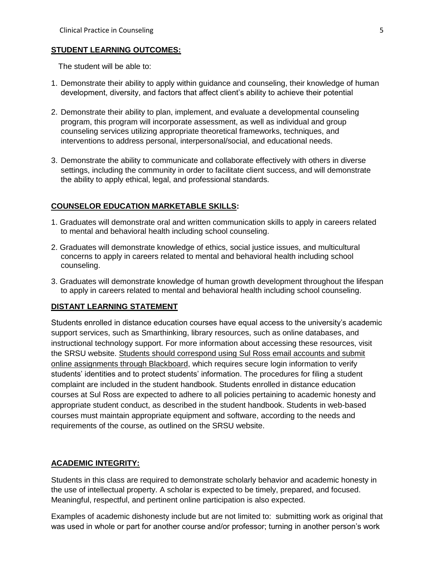#### **STUDENT LEARNING OUTCOMES:**

The student will be able to:

- 1. Demonstrate their ability to apply within guidance and counseling, their knowledge of human development, diversity, and factors that affect client's ability to achieve their potential
- 2. Demonstrate their ability to plan, implement, and evaluate a developmental counseling program, this program will incorporate assessment, as well as individual and group counseling services utilizing appropriate theoretical frameworks, techniques, and interventions to address personal, interpersonal/social, and educational needs.
- 3. Demonstrate the ability to communicate and collaborate effectively with others in diverse settings, including the community in order to facilitate client success, and will demonstrate the ability to apply ethical, legal, and professional standards.

## **COUNSELOR EDUCATION MARKETABLE SKILLS:**

- 1. Graduates will demonstrate oral and written communication skills to apply in careers related to mental and behavioral health including school counseling.
- 2. Graduates will demonstrate knowledge of ethics, social justice issues, and multicultural concerns to apply in careers related to mental and behavioral health including school counseling.
- 3. Graduates will demonstrate knowledge of human growth development throughout the lifespan to apply in careers related to mental and behavioral health including school counseling.

## **DISTANT LEARNING STATEMENT**

Students enrolled in distance education courses have equal access to the university's academic support services, such as Smarthinking, library resources, such as online databases, and instructional technology support. For more information about accessing these resources, visit the SRSU website. Students should correspond using Sul Ross email accounts and submit online assignments through Blackboard, which requires secure login information to verify students' identities and to protect students' information. The procedures for filing a student complaint are included in the student handbook. Students enrolled in distance education courses at Sul Ross are expected to adhere to all policies pertaining to academic honesty and appropriate student conduct, as described in the student handbook. Students in web-based courses must maintain appropriate equipment and software, according to the needs and requirements of the course, as outlined on the SRSU website.

#### **ACADEMIC INTEGRITY:**

Students in this class are required to demonstrate scholarly behavior and academic honesty in the use of intellectual property. A scholar is expected to be timely, prepared, and focused. Meaningful, respectful, and pertinent online participation is also expected.

Examples of academic dishonesty include but are not limited to: submitting work as original that was used in whole or part for another course and/or professor; turning in another person's work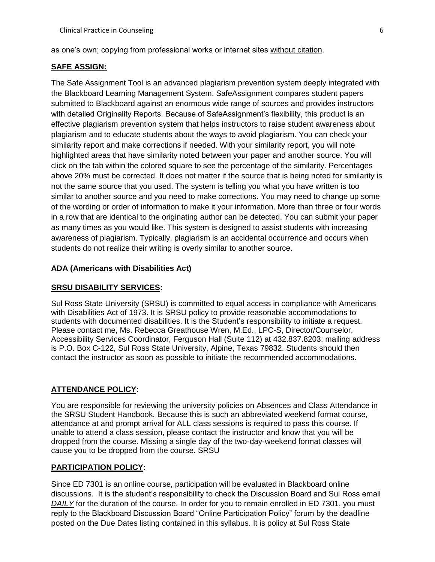as one's own; copying from professional works or internet sites without citation.

#### **SAFE ASSIGN:**

The Safe Assignment Tool is an advanced plagiarism prevention system deeply integrated with the Blackboard Learning Management System. SafeAssignment compares student papers submitted to Blackboard against an enormous wide range of sources and provides instructors with detailed Originality Reports. Because of SafeAssignment's flexibility, this product is an effective plagiarism prevention system that helps instructors to raise student awareness about plagiarism and to educate students about the ways to avoid plagiarism. You can check your similarity report and make corrections if needed. With your similarity report, you will note highlighted areas that have similarity noted between your paper and another source. You will click on the tab within the colored square to see the percentage of the similarity. Percentages above 20% must be corrected. It does not matter if the source that is being noted for similarity is not the same source that you used. The system is telling you what you have written is too similar to another source and you need to make corrections. You may need to change up some of the wording or order of information to make it your information. More than three or four words in a row that are identical to the originating author can be detected. You can submit your paper as many times as you would like. This system is designed to assist students with increasing awareness of plagiarism. Typically, plagiarism is an accidental occurrence and occurs when students do not realize their writing is overly similar to another source.

#### **ADA (Americans with Disabilities Act)**

#### **SRSU DISABILITY SERVICES:**

Sul Ross State University (SRSU) is committed to equal access in compliance with Americans with Disabilities Act of 1973. It is SRSU policy to provide reasonable accommodations to students with documented disabilities. It is the Student's responsibility to initiate a request. Please contact me, Ms. Rebecca Greathouse Wren, M.Ed., LPC-S, Director/Counselor, Accessibility Services Coordinator, Ferguson Hall (Suite 112) at 432.837.8203; mailing address is P.O. Box C-122, Sul Ross State University, Alpine, Texas 79832. Students should then contact the instructor as soon as possible to initiate the recommended accommodations.

## **ATTENDANCE POLICY:**

You are responsible for reviewing the university policies on Absences and Class Attendance in the SRSU Student Handbook. Because this is such an abbreviated weekend format course, attendance at and prompt arrival for ALL class sessions is required to pass this course. If unable to attend a class session, please contact the instructor and know that you will be dropped from the course. Missing a single day of the two-day-weekend format classes will cause you to be dropped from the course. SRSU

#### **PARTICIPATION POLICY:**

Since ED 7301 is an online course, participation will be evaluated in Blackboard online discussions. It is the student's responsibility to check the Discussion Board and Sul Ross email *DAILY* for the duration of the course. In order for you to remain enrolled in ED 7301, you must reply to the Blackboard Discussion Board "Online Participation Policy" forum by the deadline posted on the Due Dates listing contained in this syllabus. It is policy at Sul Ross State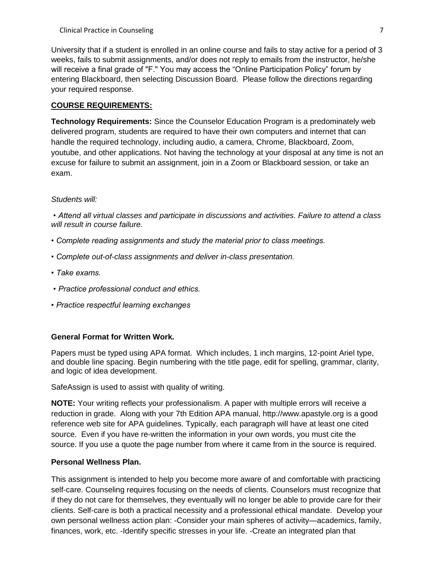University that if a student is enrolled in an online course and fails to stay active for a period of 3 weeks, fails to submit assignments, and/or does not reply to emails from the instructor, he/she will receive a final grade of "F." You may access the "Online Participation Policy" forum by entering Blackboard, then selecting Discussion Board. Please follow the directions regarding your required response.

## **COURSE REQUIREMENTS:**

**Technology Requirements:** Since the Counselor Education Program is a predominately web delivered program, students are required to have their own computers and internet that can handle the required technology, including audio, a camera, Chrome, Blackboard, Zoom, youtube, and other applications. Not having the technology at your disposal at any time is not an excuse for failure to submit an assignment, join in a Zoom or Blackboard session, or take an exam.

## *Students will:*

*• Attend all virtual classes and participate in discussions and activities. Failure to attend a class will result in course failure.*

- *Complete reading assignments and study the material prior to class meetings.*
- *Complete out-of-class assignments and deliver in-class presentation.*
- *Take exams.*
- *Practice professional conduct and ethics.*
- *Practice respectful learning exchanges*

## **General Format for Written Work.**

Papers must be typed using APA format. Which includes, 1 inch margins, 12-point Ariel type, and double line spacing. Begin numbering with the title page, edit for spelling, grammar, clarity, and logic of idea development.

SafeAssign is used to assist with quality of writing.

**NOTE:** Your writing reflects your professionalism. A paper with multiple errors will receive a reduction in grade. Along with your 7th Edition APA manual, http://www.apastyle.org is a good reference web site for APA guidelines. Typically, each paragraph will have at least one cited source. Even if you have re-written the information in your own words, you must cite the source. If you use a quote the page number from where it came from in the source is required.

## **Personal Wellness Plan.**

This assignment is intended to help you become more aware of and comfortable with practicing self-care. Counseling requires focusing on the needs of clients. Counselors must recognize that if they do not care for themselves, they eventually will no longer be able to provide care for their clients. Self-care is both a practical necessity and a professional ethical mandate. Develop your own personal wellness action plan: -Consider your main spheres of activity—academics, family, finances, work, etc. -Identify specific stresses in your life. -Create an integrated plan that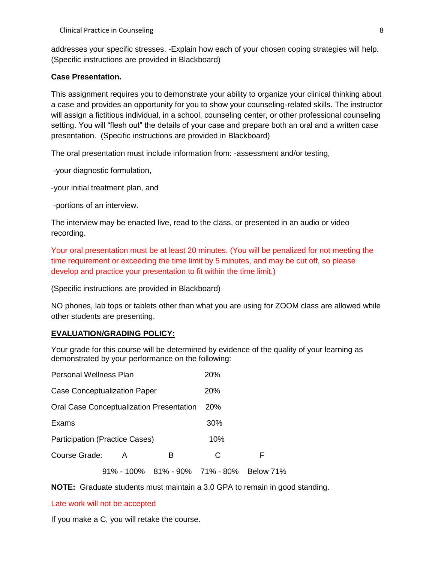addresses your specific stresses. -Explain how each of your chosen coping strategies will help. (Specific instructions are provided in Blackboard)

### **Case Presentation.**

This assignment requires you to demonstrate your ability to organize your clinical thinking about a case and provides an opportunity for you to show your counseling-related skills. The instructor will assign a fictitious individual, in a school, counseling center, or other professional counseling setting. You will "flesh out" the details of your case and prepare both an oral and a written case presentation. (Specific instructions are provided in Blackboard)

The oral presentation must include information from: -assessment and/or testing,

-your diagnostic formulation,

-your initial treatment plan, and

-portions of an interview.

The interview may be enacted live, read to the class, or presented in an audio or video recording.

Your oral presentation must be at least 20 minutes. (You will be penalized for not meeting the time requirement or exceeding the time limit by 5 minutes, and may be cut off, so please develop and practice your presentation to fit within the time limit.)

(Specific instructions are provided in Blackboard)

NO phones, lab tops or tablets other than what you are using for ZOOM class are allowed while other students are presenting.

## **EVALUATION/GRADING POLICY:**

Your grade for this course will be determined by evidence of the quality of your learning as demonstrated by your performance on the following:

| Personal Wellness Plan                          |   | <b>20%</b>                     |     |           |
|-------------------------------------------------|---|--------------------------------|-----|-----------|
| <b>Case Conceptualization Paper</b>             |   | <b>20%</b>                     |     |           |
| <b>Oral Case Conceptualization Presentation</b> |   | <b>20%</b>                     |     |           |
| Exams                                           |   |                                | 30% |           |
| <b>Participation (Practice Cases)</b>           |   | 10%                            |     |           |
| Course Grade:                                   | A | в                              | C   | F         |
|                                                 |   | 91% - 100% 81% - 90% 71% - 80% |     | Below 71% |

**NOTE:** Graduate students must maintain a 3.0 GPA to remain in good standing.

#### Late work will not be accepted

If you make a C, you will retake the course.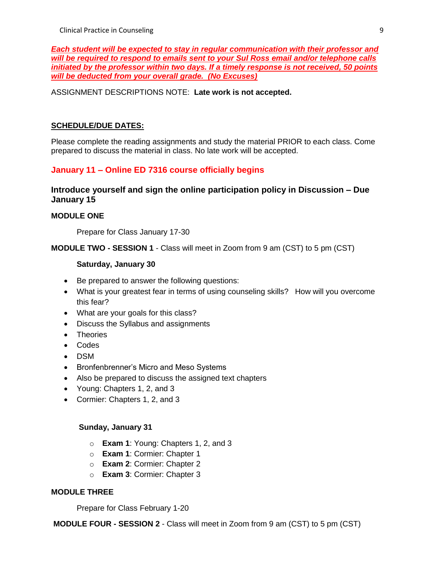*Each student will be expected to stay in regular communication with their professor and will be required to respond to emails sent to your Sul Ross email and/or telephone calls initiated by the professor within two days. If a timely response is not received, 50 points will be deducted from your overall grade. (No Excuses)*

## ASSIGNMENT DESCRIPTIONS NOTE: **Late work is not accepted.**

## **SCHEDULE/DUE DATES:**

Please complete the reading assignments and study the material PRIOR to each class. Come prepared to discuss the material in class. No late work will be accepted.

# **January 11 – Online ED 7316 course officially begins**

## **Introduce yourself and sign the online participation policy in Discussion – Due January 15**

## **MODULE ONE**

Prepare for Class January 17-30

**MODULE TWO - SESSION 1** - Class will meet in Zoom from 9 am (CST) to 5 pm (CST)

#### **Saturday, January 30**

- Be prepared to answer the following questions:
- What is your greatest fear in terms of using counseling skills? How will you overcome this fear?
- What are your goals for this class?
- Discuss the Syllabus and assignments
- Theories
- Codes
- DSM
- Bronfenbrenner's Micro and Meso Systems
- Also be prepared to discuss the assigned text chapters
- Young: Chapters 1, 2, and 3
- Cormier: Chapters 1, 2, and 3

## **Sunday, January 31**

- o **Exam 1**: Young: Chapters 1, 2, and 3
- o **Exam 1**: Cormier: Chapter 1
- o **Exam 2**: Cormier: Chapter 2
- o **Exam 3**: Cormier: Chapter 3

## **MODULE THREE**

Prepare for Class February 1-20

**MODULE FOUR - SESSION 2** - Class will meet in Zoom from 9 am (CST) to 5 pm (CST)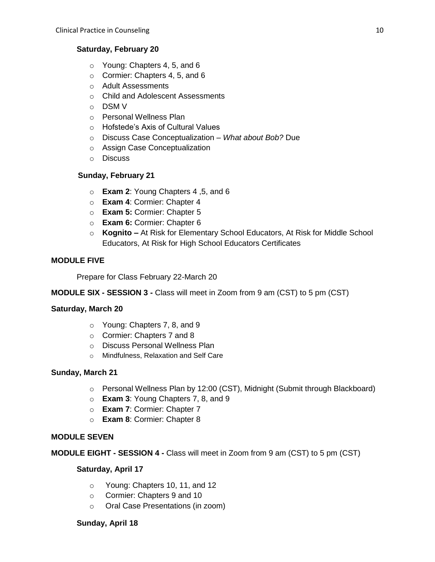## **Saturday, February 20**

- o Young: Chapters 4, 5, and 6
- o Cormier: Chapters 4, 5, and 6
- o Adult Assessments
- o Child and Adolescent Assessments
- o DSM V
- o Personal Wellness Plan
- o Hofstede's Axis of Cultural Values
- o Discuss Case Conceptualization *What about Bob?* Due
- o Assign Case Conceptualization
- o Discuss

## **Sunday, February 21**

- o **Exam 2**: Young Chapters 4 ,5, and 6
- o **Exam 4**: Cormier: Chapter 4
- o **Exam 5:** Cormier: Chapter 5
- o **Exam 6:** Cormier: Chapter 6
- o **Kognito –** At Risk for Elementary School Educators, At Risk for Middle School Educators, At Risk for High School Educators Certificates

## **MODULE FIVE**

Prepare for Class February 22-March 20

## **MODULE SIX - SESSION 3 -** Class will meet in Zoom from 9 am (CST) to 5 pm (CST)

## **Saturday, March 20**

- o Young: Chapters 7, 8, and 9
- o Cormier: Chapters 7 and 8
- o Discuss Personal Wellness Plan
- o Mindfulness, Relaxation and Self Care

## **Sunday, March 21**

- o Personal Wellness Plan by 12:00 (CST), Midnight (Submit through Blackboard)
- o **Exam 3**: Young Chapters 7, 8, and 9
- o **Exam 7**: Cormier: Chapter 7
- o **Exam 8**: Cormier: Chapter 8

## **MODULE SEVEN**

**MODULE EIGHT - SESSION 4 -** Class will meet in Zoom from 9 am (CST) to 5 pm (CST)

## **Saturday, April 17**

- o Young: Chapters 10, 11, and 12
- o Cormier: Chapters 9 and 10
- o Oral Case Presentations (in zoom)

## **Sunday, April 18**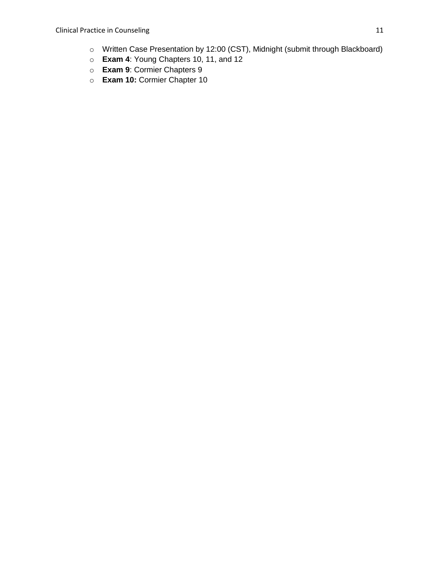- o Written Case Presentation by 12:00 (CST), Midnight (submit through Blackboard)
- o **Exam 4**: Young Chapters 10, 11, and 12
- o **Exam 9**: Cormier Chapters 9
- o **Exam 10:** Cormier Chapter 10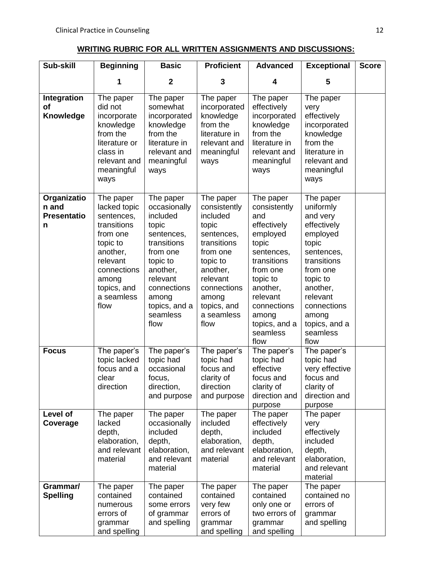# **WRITING RUBRIC FOR ALL WRITTEN ASSIGNMENTS AND DISCUSSIONS:**

| Sub-skill                                       | <b>Beginning</b>                                                                                                                                                    | <b>Basic</b>                                                                                                                                                                             | <b>Proficient</b>                                                                                                                                                                        | <b>Advanced</b>                                                                                                                                                                                                | <b>Exceptional</b>                                                                                                                                                                                               | <b>Score</b> |
|-------------------------------------------------|---------------------------------------------------------------------------------------------------------------------------------------------------------------------|------------------------------------------------------------------------------------------------------------------------------------------------------------------------------------------|------------------------------------------------------------------------------------------------------------------------------------------------------------------------------------------|----------------------------------------------------------------------------------------------------------------------------------------------------------------------------------------------------------------|------------------------------------------------------------------------------------------------------------------------------------------------------------------------------------------------------------------|--------------|
|                                                 | 1                                                                                                                                                                   | $\mathbf 2$                                                                                                                                                                              | 3                                                                                                                                                                                        | 4                                                                                                                                                                                                              | 5                                                                                                                                                                                                                |              |
| <b>Integration</b><br><b>of</b><br>Knowledge    | The paper<br>did not<br>incorporate<br>knowledge<br>from the<br>literature or<br>class in<br>relevant and<br>meaningful<br>ways                                     | The paper<br>somewhat<br>incorporated<br>knowledge<br>from the<br>literature in<br>relevant and<br>meaningful<br>ways                                                                    | The paper<br>incorporated<br>knowledge<br>from the<br>literature in<br>relevant and<br>meaningful<br>ways                                                                                | The paper<br>effectively<br>incorporated<br>knowledge<br>from the<br>literature in<br>relevant and<br>meaningful<br>ways                                                                                       | The paper<br>very<br>effectively<br>incorporated<br>knowledge<br>from the<br>literature in<br>relevant and<br>meaningful<br>ways                                                                                 |              |
| Organizatio<br>n and<br><b>Presentatio</b><br>n | The paper<br>lacked topic<br>sentences,<br>transitions<br>from one<br>topic to<br>another,<br>relevant<br>connections<br>among<br>topics, and<br>a seamless<br>flow | The paper<br>occasionally<br>included<br>topic<br>sentences,<br>transitions<br>from one<br>topic to<br>another,<br>relevant<br>connections<br>among<br>topics, and a<br>seamless<br>flow | The paper<br>consistently<br>included<br>topic<br>sentences,<br>transitions<br>from one<br>topic to<br>another,<br>relevant<br>connections<br>among<br>topics, and<br>a seamless<br>flow | The paper<br>consistently<br>and<br>effectively<br>employed<br>topic<br>sentences,<br>transitions<br>from one<br>topic to<br>another,<br>relevant<br>connections<br>among<br>topics, and a<br>seamless<br>flow | The paper<br>uniformly<br>and very<br>effectively<br>employed<br>topic<br>sentences,<br>transitions<br>from one<br>topic to<br>another,<br>relevant<br>connections<br>among<br>topics, and a<br>seamless<br>flow |              |
| <b>Focus</b>                                    | The paper's<br>topic lacked<br>focus and a<br>clear<br>direction                                                                                                    | The paper's<br>topic had<br>occasional<br>focus,<br>direction,<br>and purpose                                                                                                            | The paper's<br>topic had<br>focus and<br>clarity of<br>direction<br>and purpose                                                                                                          | The paper's<br>topic had<br>effective<br>focus and<br>clarity of<br>direction and<br>purpose                                                                                                                   | The paper's<br>topic had<br>very effective<br>focus and<br>clarity of<br>direction and<br>purpose                                                                                                                |              |
| Level of<br>Coverage                            | The paper<br>lacked<br>depth,<br>elaboration,<br>and relevant<br>material                                                                                           | The paper<br>occasionally<br>included<br>depth,<br>elaboration,<br>and relevant<br>material                                                                                              | The paper<br>included<br>depth,<br>elaboration,<br>and relevant<br>material                                                                                                              | The paper<br>effectively<br>included<br>depth,<br>elaboration,<br>and relevant<br>material                                                                                                                     | The paper<br>very<br>effectively<br>included<br>depth,<br>elaboration,<br>and relevant<br>material                                                                                                               |              |
| Grammar/<br><b>Spelling</b>                     | The paper<br>contained<br>numerous<br>errors of<br>grammar<br>and spelling                                                                                          | The paper<br>contained<br>some errors<br>of grammar<br>and spelling                                                                                                                      | The paper<br>contained<br>very few<br>errors of<br>grammar<br>and spelling                                                                                                               | The paper<br>contained<br>only one or<br>two errors of<br>grammar<br>and spelling                                                                                                                              | The paper<br>contained no<br>errors of<br>grammar<br>and spelling                                                                                                                                                |              |